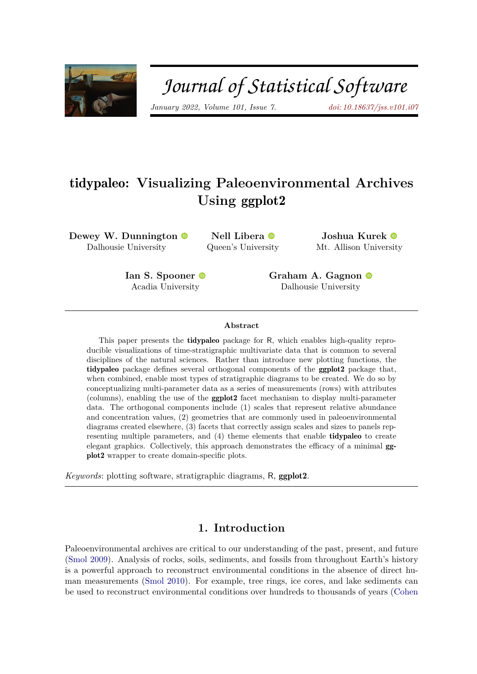

# Journal of Statistical Software

*January 2022, Volume 101, Issue 7. [doi: 10.18637/jss.v101.i07](https://doi.org/10.18637/jss.v101.i07)*

# tidypaleo**: Visualizing Paleoenvironmental Archives Using** ggplot2

**Dewey W. Dunnington** Dalhousie University

**Nell Libera** Queen's Univer[sity](https://orcid.org/0000-0002-0133-1878)

**Joshua Kurek** Mt. Allison Univer[sity](https://orcid.org/0000-0003-4590-4823)

**Ian S. Spooner** Acadia Universit[y](https://orcid.org/0000-0003-2860-0780)

**Graham A. Gagnon** Dalhousie University

#### **Abstract**

This paper presents the tidypaleo package for R, which enables high-quality reproducible visualizations of time-stratigraphic multivariate data that is common to several disciplines of the natural sciences. Rather than introduce new plotting functions, the tidypaleo package defines several orthogonal components of the ggplot2 package that, when combined, enable most types of stratigraphic diagrams to be created. We do so by conceptualizing multi-parameter data as a series of measurements (rows) with attributes (columns), enabling the use of the ggplot2 facet mechanism to display multi-parameter data. The orthogonal components include (1) scales that represent relative abundance and concentration values, (2) geometries that are commonly used in paleoenvironmental diagrams created elsewhere, (3) facets that correctly assign scales and sizes to panels representing multiple parameters, and (4) theme elements that enable tidypaleo to create elegant graphics. Collectively, this approach demonstrates the efficacy of a minimal ggplot2 wrapper to create domain-specific plots.

*Keywords*: plotting software, stratigraphic diagrams, R, ggplot2.

# **1. Introduction**

Paleoenvironmental archives are critical to our understanding of the past, present, and future [\(Smol](#page-18-0) [2009\)](#page-18-0). Analysis of rocks, soils, sediments, and fossils from throughout Earth's history is a powerful approach to reconstruct environmental conditions in the absence of direct human measurements [\(Smol](#page-18-1) [2010\)](#page-18-1). For example, tree rings, ice cores, and lake sediments can be used to reconstruct environmental conditions over hundreds to thousands of years [\(Cohen](#page-17-0)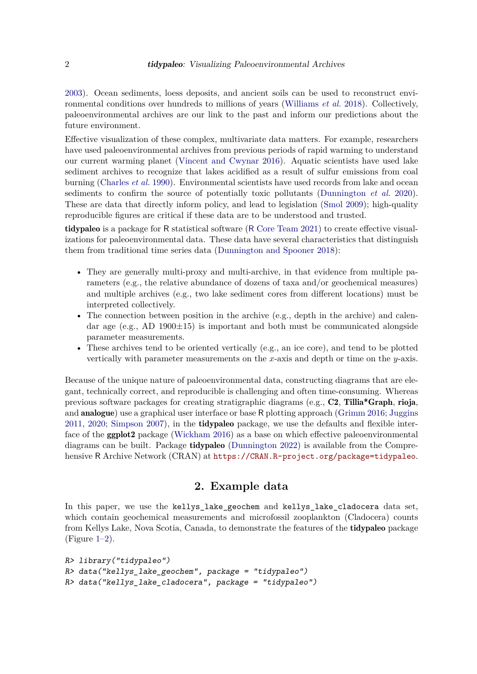[2003\)](#page-17-0). Ocean sediments, loess deposits, and ancient soils can be used to reconstruct environmental conditions over hundreds to millions of years [\(Williams](#page-18-2) *et al.* [2018\)](#page-18-2). Collectively, paleoenvironmental archives are our link to the past and inform our predictions about the future environment.

Effective visualization of these complex, multivariate data matters. For example, researchers have used paleoenvironmental archives from previous periods of rapid warming to understand our current warming planet [\(Vincent and Cwynar](#page-18-3) [2016\)](#page-18-3). Aquatic scientists have used lake sediment archives to recognize that lakes acidified as a result of sulfur emissions from coal burning [\(Charles](#page-17-1) *et al.* [1990\)](#page-17-1). Environmental scientists have used records from lake and ocean sediments to confirm the source of potentially toxic pollutants [\(Dunnington](#page-17-2) *et al.* [2020\)](#page-17-2). These are data that directly inform policy, and lead to legislation [\(Smol](#page-18-0) [2009\)](#page-18-0); high-quality reproducible figures are critical if these data are to be understood and trusted.

tidypaleo is a package for R statistical software (R [Core Team](#page-18-4) [2021\)](#page-18-4) to create effective visualizations for paleoenvironmental data. These data have several characteristics that distinguish them from traditional time series data [\(Dunnington and Spooner](#page-17-3) [2018\)](#page-17-3):

- They are generally multi-proxy and multi-archive, in that evidence from multiple parameters (e.g., the relative abundance of dozens of taxa and/or geochemical measures) and multiple archives (e.g., two lake sediment cores from different locations) must be interpreted collectively.
- The connection between position in the archive (e.g., depth in the archive) and calendar age (e.g., AD 1900±15) is important and both must be communicated alongside parameter measurements.
- These archives tend to be oriented vertically (e.g., an ice core), and tend to be plotted vertically with parameter measurements on the *x*-axis and depth or time on the *y*-axis.

Because of the unique nature of paleoenvironmental data, constructing diagrams that are elegant, technically correct, and reproducible is challenging and often time-consuming. Whereas previous software packages for creating stratigraphic diagrams (e.g., C2, Tillia\*Graph, rioja, and analogue) use a graphical user interface or base R plotting approach [\(Grimm](#page-17-4) [2016;](#page-17-4) [Juggins](#page-17-5) [2011,](#page-17-5) [2020;](#page-17-6) [Simpson](#page-18-5) [2007\)](#page-18-5), in the tidypaleo package, we use the defaults and flexible interface of the ggplot2 package [\(Wickham](#page-18-6) [2016\)](#page-18-6) as a base on which effective paleoenvironmental diagrams can be built. Package **tidypaleo** [\(Dunnington](#page-17-7) [2022\)](#page-17-7) is available from the Comprehensive R Archive Network (CRAN) at <https://CRAN.R-project.org/package=tidypaleo>.

## **2. Example data**

In this paper, we use the kellys lake geochem and kellys lake cladocera data set, which contain geochemical measurements and microfossil zooplankton (Cladocera) counts from Kellys Lake, Nova Scotia, Canada, to demonstrate the features of the tidypaleo package  $(Figure 1-2)$  $(Figure 1-2)$ .

```
R> library("tidypaleo")
R> data("kellys_lake_geochem", package = "tidypaleo")
R> data("kellys_lake_cladocera", package = "tidypaleo")
```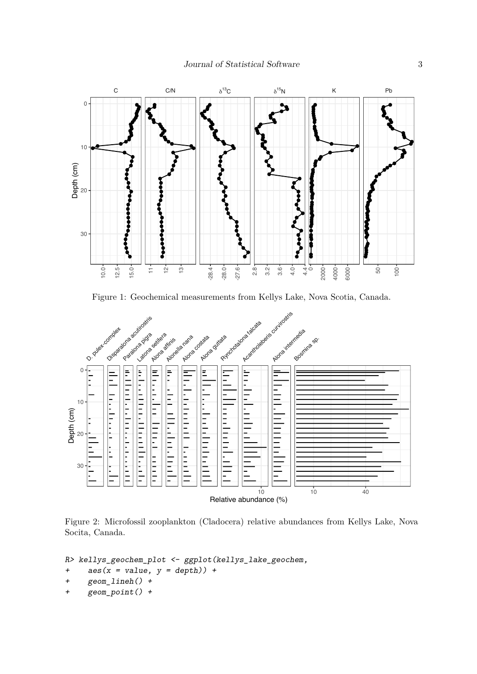

<span id="page-2-0"></span>Figure 1: Geochemical measurements from Kellys Lake, Nova Scotia, Canada.



<span id="page-2-1"></span>Figure 2: Microfossil zooplankton (Cladocera) relative abundances from Kellys Lake, Nova Socita, Canada.

R> kellys\_geochem\_plot <- ggplot(kellys\_lake\_geochem,

+  $\text{aes}(x = \text{value}, y = \text{depth})$  +

```
+ geom_lineh() +
```
+ geom\_point() +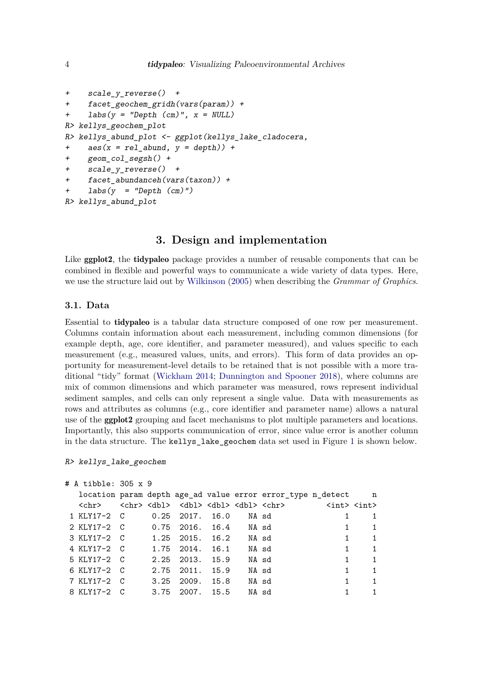```
+ scale_y_reverse() +
+ facet_geochem_gridh(vars(param)) +
+ labs(y = "Depth (cm)", x = NULL)
R> kellys_geochem_plot
R> kellys_abund_plot <- ggplot(kellys_lake_cladocera,
+ \cos(x = rel\_abund, y = depth) +
+ geom_col_segsh() +
+ scale_y_reverse() +
     factor abundanceh(vars(taxon)) +
+ \text{labs}(y) = \text{''Depth}(cm)^{\prime\prime}R> kellys_abund_plot
```
# **3. Design and implementation**

Like **ggplot2**, the **tidypaleo** package provides a number of reusable components that can be combined in flexible and powerful ways to communicate a wide variety of data types. Here, we use the structure laid out by [Wilkinson](#page-18-7) [\(2005\)](#page-18-7) when describing the *Grammar of Graphics*.

#### **3.1. Data**

Essential to tidypaleo is a tabular data structure composed of one row per measurement. Columns contain information about each measurement, including common dimensions (for example depth, age, core identifier, and parameter measured), and values specific to each measurement (e.g., measured values, units, and errors). This form of data provides an opportunity for measurement-level details to be retained that is not possible with a more traditional "tidy" format [\(Wickham](#page-18-8) [2014;](#page-18-8) [Dunnington and Spooner](#page-17-3) [2018\)](#page-17-3), where columns are mix of common dimensions and which parameter was measured, rows represent individual sediment samples, and cells can only represent a single value. Data with measurements as rows and attributes as columns (e.g., core identifier and parameter name) allows a natural use of the ggplot2 grouping and facet mechanisms to plot multiple parameters and locations. Importantly, this also supports communication of error, since value error is another column in the data structure. The kellys\_lake\_geochem data set used in Figure [1](#page-2-0) is shown below.

R> kellys\_lake\_geochem

```
# A tibble: 305 x 9
```

|                                   |  |                       |  | location param depth age_ad value error error_type n_detect n                                                                       |              |                |
|-----------------------------------|--|-----------------------|--|-------------------------------------------------------------------------------------------------------------------------------------|--------------|----------------|
|                                   |  |                       |  | <chr> <chr> <dbl> <dbl> <dbl> <dbl> <dbl> <chr> <chr> <int> <int></int></int></chr></chr></dbl></dbl></dbl></dbl></dbl></chr></chr> |              |                |
|                                   |  |                       |  | 1 KLY17-2 C 0.25 2017. 16.0 NA sd 1                                                                                                 |              | -1             |
|                                   |  |                       |  | 2 KLY17-2 C 0.75 2016. 16.4 NA sd 1                                                                                                 |              | $\overline{1}$ |
| 3 KLY17-2 C 1.25 2015. 16.2 NA sd |  |                       |  |                                                                                                                                     |              | $\overline{1}$ |
| 4 KLY17-2 C 1.75 2014. 16.1 NA sd |  |                       |  |                                                                                                                                     | $\mathbf{1}$ | $\overline{1}$ |
| 5 KLY17-2 C                       |  | 2.25 2013. 15.9 NA sd |  |                                                                                                                                     | $1 \quad$    | $\overline{1}$ |
| 6 KLY17-2 C 2.75 2011. 15.9 NA sd |  |                       |  |                                                                                                                                     | 1            | $\overline{1}$ |
| 7 KLY17-2 C 3.25 2009. 15.8 NA sd |  |                       |  |                                                                                                                                     | $\mathbf{1}$ | $\overline{1}$ |
| 8 KLY17-2 C 3.75 2007. 15.5 NA sd |  |                       |  |                                                                                                                                     | $1 \quad$    | $\mathbf{1}$   |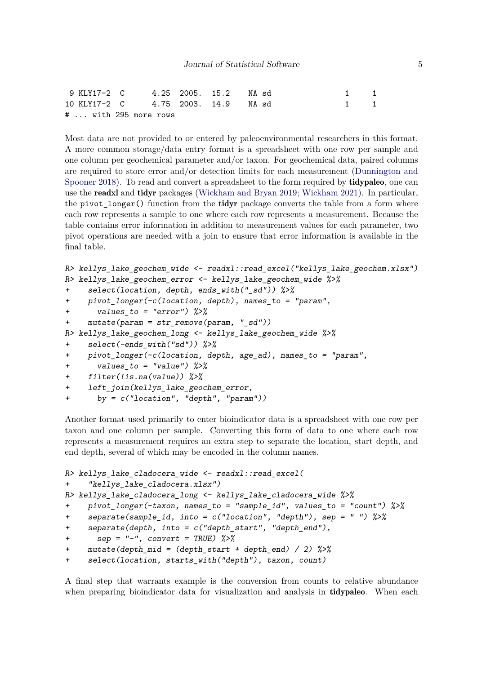|  | 9 KLY17-2 C 4.25 2005. 15.2 NA sd  |  |                                         | 1 1 |  |
|--|------------------------------------|--|-----------------------------------------|-----|--|
|  | 10 KLY17-2 C 4.75 2003. 14.9 NA sd |  | $\begin{array}{cccc} 1 & 1 \end{array}$ |     |  |
|  | #  with 295 more rows              |  |                                         |     |  |

Most data are not provided to or entered by paleoenvironmental researchers in this format. A more common storage/data entry format is a spreadsheet with one row per sample and one column per geochemical parameter and/or taxon. For geochemical data, paired columns are required to store error and/or detection limits for each measurement [\(Dunnington and](#page-17-3) [Spooner](#page-17-3) [2018\)](#page-17-3). To read and convert a spreadsheet to the form required by **tidypaleo**, one can use the readxl and tidyr packages [\(Wickham and Bryan](#page-18-9) [2019;](#page-18-9) [Wickham](#page-18-10) [2021\)](#page-18-10). In particular, the pivot\_longer() function from the tidyr package converts the table from a form where each row represents a sample to one where each row represents a measurement. Because the table contains error information in addition to measurement values for each parameter, two pivot operations are needed with a join to ensure that error information is available in the final table.

```
R> kellys_lake_geochem_wide <- readxl::read_excel("kellys_lake_geochem.xlsx")
R> kellys_lake_geochem_error <- kellys_lake_geochem_wide %>%
+ select(location, depth, ends_with("_sd")) %>%
+ pivot_longer(-c(location, depth), names_to = "param",
+ values to = "error") \frac{9}{2}+ mutate(param = str_remove(param, "_sd"))
R> kellys_lake_geochem_long <- kellys_lake_geochem_wide \frac{8}{8}+ select(-ends_with("sd")) %>%
    pivot\_longer(-c(location, depth, age\_ad), names_to = "param",+ values to = "value") \frac{9}{2}+ filter(!is.na(value)) %>%
+ left join(kellys lake geochem error,
+ by = c("location", "depth", "param"))
```
Another format used primarily to enter bioindicator data is a spreadsheet with one row per taxon and one column per sample. Converting this form of data to one where each row represents a measurement requires an extra step to separate the location, start depth, and end depth, several of which may be encoded in the column names.

```
R> kellys_lake_cladocera_wide <- readxl::read_excel(
+ "kellys_lake_cladocera.xlsx")
R> kellys lake cladocera long <- kellys lake cladocera wide \frac{9}{6}>%
+ pivot_longer(-taxon, names_to = "sample_id", values_to = "count") %>%
+ separate(sample_id, into = c("location", "depth"), sep = " ") %>%
    separate(depth, into = c('depth\_start", 'depth\_end"),+ sep = "-", convert = TRUE) %>\%+ mutate(depth_mid = (depth_start + depth_end) / 2) %>%
+ select(location, starts_with("depth"), taxon, count)
```
A final step that warrants example is the conversion from counts to relative abundance when preparing bioindicator data for visualization and analysis in **tidypaleo**. When each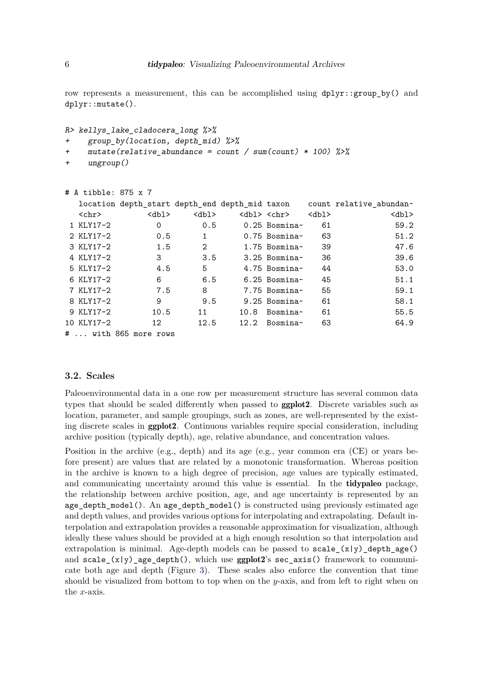row represents a measurement, this can be accomplished using  $dp\text{lyr}:$ group by() and dplyr::mutate().

```
R> kellys lake cladocera long %>%
+ group by(location, depth mid) %>%
+ mutate(relative_abundance = count / sum(count) * 100) %>%
+ ungroup()
```

| # A tibble: 875 x 7 |                       |              |                         |             |                                                                        |
|---------------------|-----------------------|--------------|-------------------------|-------------|------------------------------------------------------------------------|
|                     |                       |              |                         |             | location depth_start depth_end depth_mid taxon count relative_abundan~ |
| $<$ chr $>$         | db1                   | db1>         | <dbl> <chr></chr></dbl> | $<$ dbl $>$ | $<$ dbl $>$                                                            |
| 1 KLY17-2           | 0                     | 0.5          | $0.25$ Bosmina~         | 61          | 59.2                                                                   |
| 2 KLY17-2           | 0.5                   | $\mathbf{1}$ | $0.75$ Bosmina~         | 63          | 51.2                                                                   |
| 3 KLY17-2           | 1.5                   | 2            | 1.75 Bosmina $\sim$     | 39          | 47.6                                                                   |
| 4 KLY17-2           | 3                     | 3.5          | $3.25$ Bosmina $\sim$   | 36          | 39.6                                                                   |
| 5 KLY17-2           | 4.5                   | 5            | $4.75$ Bosmina $\sim$   | 44          | 53.0                                                                   |
| 6 KLY17-2           | 6                     | 6.5          | $6.25$ Bosmina~         | 45          | 51.1                                                                   |
| 7 KLY17-2           | 7.5                   | 8            | 7.75 Bosmina~           | 55          | 59.1                                                                   |
| 8 KLY17-2           | 9                     | 9.5          | $9.25$ Bosmina~         | 61          | 58.1                                                                   |
| 9 KLY17-2           | 10.5                  | 11           | $10.8$ Bosmina~         | 61          | 55.5                                                                   |
| 10 KLY17-2          | 12                    | 12.5         | $12.2$ Bosmina~         | 63          | 64.9                                                                   |
|                     | #  with 865 more rows |              |                         |             |                                                                        |

#### <span id="page-5-0"></span>**3.2. Scales**

Paleoenvironmental data in a one row per measurement structure has several common data types that should be scaled differently when passed to ggplot2. Discrete variables such as location, parameter, and sample groupings, such as zones, are well-represented by the existing discrete scales in ggplot2. Continuous variables require special consideration, including archive position (typically depth), age, relative abundance, and concentration values.

Position in the archive (e.g., depth) and its age (e.g., year common era (CE) or years before present) are values that are related by a monotonic transformation. Whereas position in the archive is known to a high degree of precision, age values are typically estimated, and communicating uncertainty around this value is essential. In the tidypaleo package, the relationship between archive position, age, and age uncertainty is represented by an age depth  $model()$ . An age depth  $model()$  is constructed using previously estimated age and depth values, and provides various options for interpolating and extrapolating. Default interpolation and extrapolation provides a reasonable approximation for visualization, although ideally these values should be provided at a high enough resolution so that interpolation and extrapolation is minimal. Age-depth models can be passed to scale  $(x|y)$  depth age() and scale  $(x|y)$  age depth(), which use ggplot2's sec\_axis() framework to communicate both age and depth (Figure [3\)](#page-6-0). These scales also enforce the convention that time should be visualized from bottom to top when on the *y*-axis, and from left to right when on the *x*-axis.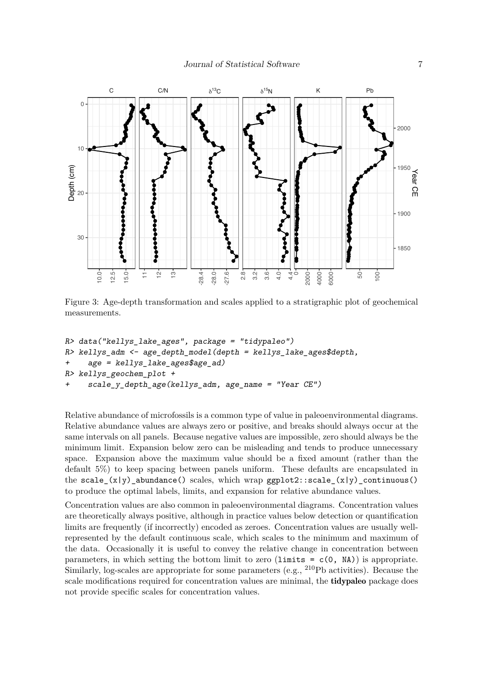

<span id="page-6-0"></span>Figure 3: Age-depth transformation and scales applied to a stratigraphic plot of geochemical measurements.

```
R> data("kellys_lake_ages", package = "tidypaleo")
R> kellys_adm <- age_depth_model(depth = kellys_lake_ages$depth,
+ age = kellys_lake_ages$age_ad)
R> kellys_geochem_plot +
     + scale_y_depth_age(kellys_adm, age_name = "Year CE")
```
Relative abundance of microfossils is a common type of value in paleoenvironmental diagrams. Relative abundance values are always zero or positive, and breaks should always occur at the same intervals on all panels. Because negative values are impossible, zero should always be the minimum limit. Expansion below zero can be misleading and tends to produce unnecessary space. Expansion above the maximum value should be a fixed amount (rather than the default 5%) to keep spacing between panels uniform. These defaults are encapsulated in the scale\_ $(x|y)$ \_abundance() scales, which wrap ggplot2::scale\_ $(x|y)$ \_continuous() to produce the optimal labels, limits, and expansion for relative abundance values.

Concentration values are also common in paleoenvironmental diagrams. Concentration values are theoretically always positive, although in practice values below detection or quantification limits are frequently (if incorrectly) encoded as zeroes. Concentration values are usually wellrepresented by the default continuous scale, which scales to the minimum and maximum of the data. Occasionally it is useful to convey the relative change in concentration between parameters, in which setting the bottom limit to zero (limits =  $c(0, NA)$ ) is appropriate. Similarly, log-scales are appropriate for some parameters (e.g., <sup>210</sup>Pb activities). Because the scale modifications required for concentration values are minimal, the **tidypaleo** package does not provide specific scales for concentration values.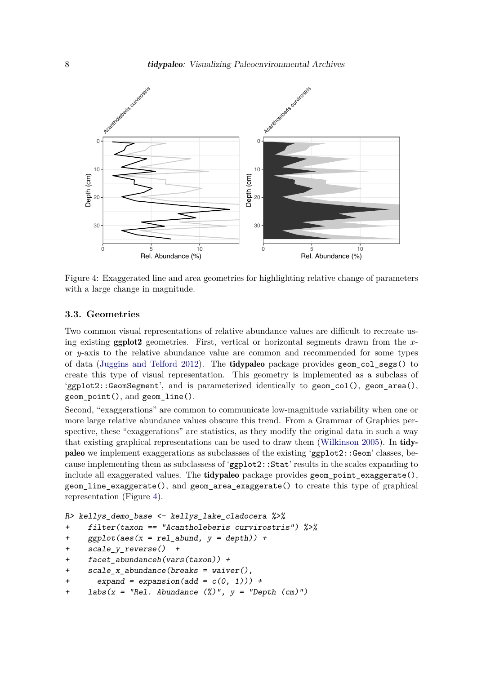

<span id="page-7-0"></span>Figure 4: Exaggerated line and area geometries for highlighting relative change of parameters with a large change in magnitude.

#### **3.3. Geometries**

Two common visual representations of relative abundance values are difficult to recreate using existing ggplot2 geometries. First, vertical or horizontal segments drawn from the *x*or *y*-axis to the relative abundance value are common and recommended for some types of data [\(Juggins and Telford](#page-17-8) [2012\)](#page-17-8). The tidypaleo package provides geom\_col\_segs() to create this type of visual representation. This geometry is implemented as a subclass of 'ggplot2::GeomSegment', and is parameterized identically to geom\_col(), geom\_area(), geom\_point(), and geom\_line().

Second, "exaggerations" are common to communicate low-magnitude variability when one or more large relative abundance values obscure this trend. From a Grammar of Graphics perspective, these "exaggerations" are statistics, as they modify the original data in such a way that existing graphical representations can be used to draw them [\(Wilkinson](#page-18-7) [2005\)](#page-18-7). In tidypaleo we implement exaggerations as subclassses of the existing 'ggplot2::Geom' classes, because implementing them as subclassess of 'ggplot2::Stat' results in the scales expanding to include all exaggerated values. The **tidypaleo** package provides geom point exaggerate(), geom\_line\_exaggerate(), and geom\_area\_exaggerate() to create this type of graphical representation (Figure [4\)](#page-7-0).

```
R> kellys_demo_base <- kellys_lake_cladocera %>%
```
+ filter(taxon == "Acantholeberis curvirostris") %>%

```
+ ggplot(aes(x = rel_abund, y = depth)) +
```

```
+ scale_y_reverse() +
```

```
+ facet_abundanceh(vars(taxon)) +
```

```
+ scale_x_abundance(breaks = waiver(),
```
- + expand = expansion(add =  $c(0, 1))$  +
- +  $\text{labs}(x = \text{''Rel. Abundance } (\%)$ ",  $y = \text{''Depth } (cm)$ ")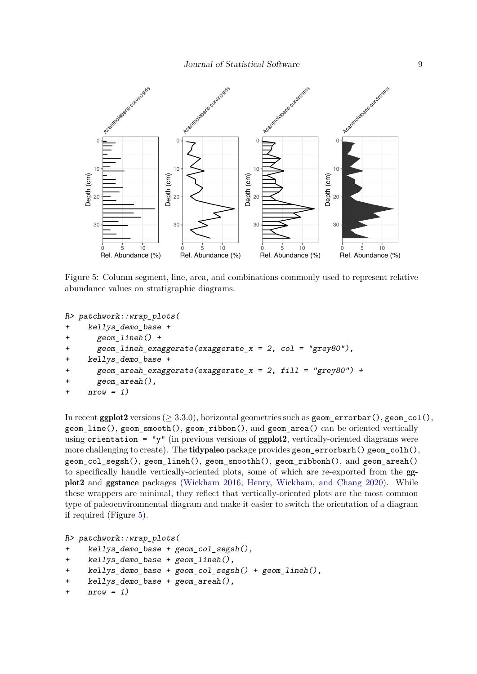

<span id="page-8-0"></span>Figure 5: Column segment, line, area, and combinations commonly used to represent relative abundance values on stratigraphic diagrams.

```
R> patchwork::wrap_plots(
```

```
+ kellys_demo_base +
```

```
+ geom_lineh() +
```

```
+ geom_lineh_exaggerate(exaggerate_x = 2, col = "grey80"),
```

```
+ kellys_demo_base +
```

```
geom\_areah\_exaggere(exaggera\_x = 2, fill = "grey80") +
```

```
+ geom_areah(),
```

```
+ nrow = 1)
```
In recent ggplot2 versions ( $> 3.3.0$ ), horizontal geometries such as geometrorbar(), geom col(), geom\_line(), geom\_smooth(), geom\_ribbon(), and geom\_area() can be oriented vertically using orientation = "y" (in previous versions of  $ggplot2$ , vertically-oriented diagrams were more challenging to create). The tidypaleo package provides geom\_errorbarh() geom\_colh(), geom\_col\_segsh(), geom\_lineh(), geom\_smoothh(), geom\_ribbonh(), and geom\_areah() to specifically handle vertically-oriented plots, some of which are re-exported from the ggplot2 and ggstance packages [\(Wickham](#page-18-6) [2016;](#page-18-6) [Henry, Wickham, and Chang](#page-17-9) [2020\)](#page-17-9). While these wrappers are minimal, they reflect that vertically-oriented plots are the most common type of paleoenvironmental diagram and make it easier to switch the orientation of a diagram if required (Figure [5\)](#page-8-0).

```
R> patchwork::wrap_plots(
+ kellys_demo_base + geom_col_segsh(),
    kellys_demo_base + geom_lineh(),
+ kellys_demo_base + geom_col_segsh() + geom_lineh(),
+ kellys_demo_base + geom_areah(),
+ nrow = 1)
```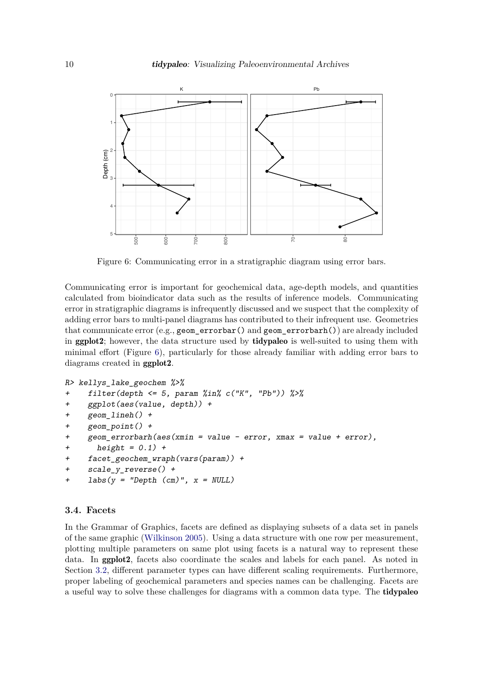

<span id="page-9-0"></span>Figure 6: Communicating error in a stratigraphic diagram using error bars.

Communicating error is important for geochemical data, age-depth models, and quantities calculated from bioindicator data such as the results of inference models. Communicating error in stratigraphic diagrams is infrequently discussed and we suspect that the complexity of adding error bars to multi-panel diagrams has contributed to their infrequent use. Geometries that communicate error (e.g., geom\_errorbar() and geom\_errorbarh()) are already included in ggplot2; however, the data structure used by tidypaleo is well-suited to using them with minimal effort (Figure [6\)](#page-9-0), particularly for those already familiar with adding error bars to diagrams created in ggplot2.

```
R> kellys_lake_geochem %>%
+ filter(depth <= 5, param %in% c("K", "Pb")) %>%
+ ggplot(aes(value, depth)) +
    + geom_lineh() +
    geom point() ++ geom_errorbarh(aes(xmin = value - error, xmax = value + error),
      height = 0.1) +
+ facet_geochem_wraph(vars(param)) +
+ scale_y_reverse() +
+ labs(y = "Depth (cm)", x = NULL)
```
#### **3.4. Facets**

In the Grammar of Graphics, facets are defined as displaying subsets of a data set in panels of the same graphic [\(Wilkinson](#page-18-7) [2005\)](#page-18-7). Using a data structure with one row per measurement, plotting multiple parameters on same plot using facets is a natural way to represent these data. In ggplot2, facets also coordinate the scales and labels for each panel. As noted in Section [3.2,](#page-5-0) different parameter types can have different scaling requirements. Furthermore, proper labeling of geochemical parameters and species names can be challenging. Facets are a useful way to solve these challenges for diagrams with a common data type. The tidypaleo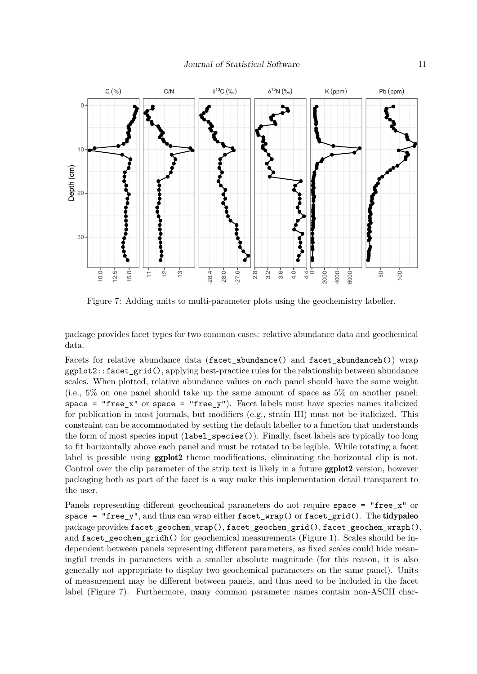

<span id="page-10-0"></span>Figure 7: Adding units to multi-parameter plots using the geochemistry labeller.

package provides facet types for two common cases: relative abundance data and geochemical data.

Facets for relative abundance data (facet\_abundance() and facet\_abundanceh()) wrap ggplot2::facet\_grid(), applying best-practice rules for the relationship between abundance scales. When plotted, relative abundance values on each panel should have the same weight (i.e., 5% on one panel should take up the same amount of space as 5% on another panel; space = "free\_x" or space = "free\_y"). Facet labels must have species names italicized for publication in most journals, but modifiers (e.g., strain III) must not be italicized. This constraint can be accommodated by setting the default labeller to a function that understands the form of most species input (label\_species()). Finally, facet labels are typically too long to fit horizontally above each panel and must be rotated to be legible. While rotating a facet label is possible using **ggplot2** theme modifications, eliminating the horizontal clip is not. Control over the clip parameter of the strip text is likely in a future **ggplot2** version, however packaging both as part of the facet is a way make this implementation detail transparent to the user.

Panels representing different geochemical parameters do not require space = "free\_x" or space =  $"free_y",$  and thus can wrap either  $face_{wrap}()$  or  $face_{grid}().$  The tidypaleo package provides facet\_geochem\_wrap(), facet\_geochem\_grid(), facet\_geochem\_wraph(), and facet\_geochem\_gridh() for geochemical measurements (Figure [1\)](#page-2-0). Scales should be independent between panels representing different parameters, as fixed scales could hide meaningful trends in parameters with a smaller absolute magnitude (for this reason, it is also generally not appropriate to display two geochemical parameters on the same panel). Units of measurement may be different between panels, and thus need to be included in the facet label (Figure [7\)](#page-10-0). Furthermore, many common parameter names contain non-ASCII char-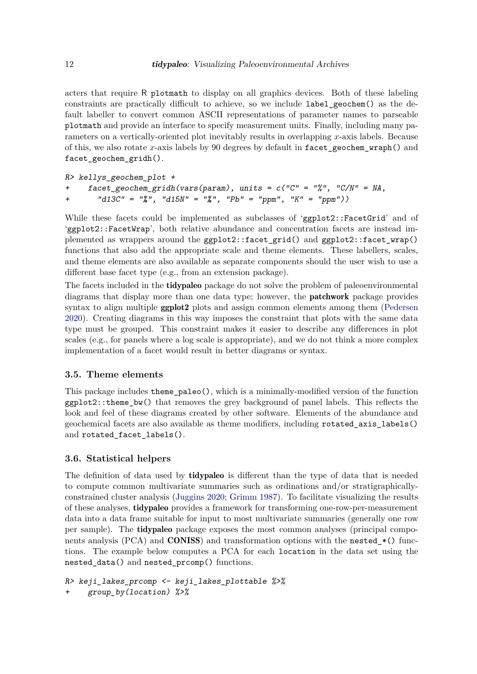acters that require R plotmath to display on all graphics devices. Both of these labeling constraints are practically difficult to achieve, so we include label\_geochem() as the default labeller to convert common ASCII representations of parameter names to parseable plotmath and provide an interface to specify measurement units. Finally, including many parameters on a vertically-oriented plot inevitably results in overlapping *x*-axis labels. Because of this, we also rotate *x*-axis labels by 90 degrees by default in facet\_geochem\_wraph() and facet geochem gridh().

```
R> kellys_geochem_plot +
    facet geochem_gridh(vars(param), units = c("C" = "\"', "C/N" = NA,+ "d13C" = "‰", "d15N" = "‰", "Pb" = "ppm", "K" = "ppm"))
```
While these facets could be implemented as subclasses of 'ggplot2::FacetGrid' and of 'ggplot2::FacetWrap', both relative abundance and concentration facets are instead implemented as wrappers around the ggplot2::facet\_grid() and ggplot2::facet\_wrap() functions that also add the appropriate scale and theme elements. These labellers, scales, and theme elements are also available as separate components should the user wish to use a different base facet type (e.g., from an extension package).

The facets included in the tidypaleo package do not solve the problem of paleoenvironmental diagrams that display more than one data type; however, the patchwork package provides syntax to align multiple **ggplot2** plots and assign common elements among them [\(Pedersen](#page-18-11) [2020\)](#page-18-11). Creating diagrams in this way imposes the constraint that plots with the same data type must be grouped. This constraint makes it easier to describe any differences in plot scales (e.g., for panels where a log scale is appropriate), and we do not think a more complex implementation of a facet would result in better diagrams or syntax.

#### **3.5. Theme elements**

This package includes theme\_paleo(), which is a minimally-modified version of the function  $ggplot2$ ::theme\_bw() that removes the grey background of panel labels. This reflects the look and feel of these diagrams created by other software. Elements of the abundance and geochemical facets are also available as theme modifiers, including rotated\_axis\_labels() and rotated\_facet\_labels().

# **3.6. Statistical helpers**

The definition of data used by **tidypaleo** is different than the type of data that is needed to compute common multivariate summaries such as ordinations and/or stratigraphicallyconstrained cluster analysis [\(Juggins](#page-17-6) [2020;](#page-17-6) [Grimm](#page-17-10) [1987\)](#page-17-10). To facilitate visualizing the results of these analyses, tidypaleo provides a framework for transforming one-row-per-measurement data into a data frame suitable for input to most multivariate summaries (generally one row per sample). The tidypaleo package exposes the most common analyses (principal components analysis (PCA) and **CONISS**) and transformation options with the nested  $*($  functions. The example below computes a PCA for each location in the data set using the nested\_data() and nested\_prcomp() functions.

```
R> keji_lakes_prcomp <- keji_lakes_plottable %>%
    group_by(location) %>%
```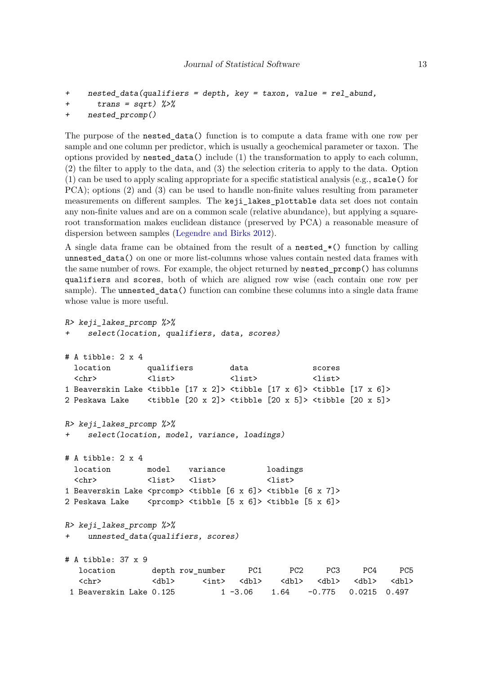```
+ nested_data(qualifiers = depth, key = taxon, value = rel_abund,
+ trans = sqrt) \frac{2}{3}
```

```
+ nested_prcomp()
```
The purpose of the nested\_data() function is to compute a data frame with one row per sample and one column per predictor, which is usually a geochemical parameter or taxon. The options provided by nested\_data() include (1) the transformation to apply to each column, (2) the filter to apply to the data, and (3) the selection criteria to apply to the data. Option (1) can be used to apply scaling appropriate for a specific statistical analysis (e.g., scale() for PCA); options (2) and (3) can be used to handle non-finite values resulting from parameter measurements on different samples. The keji\_lakes\_plottable data set does not contain any non-finite values and are on a common scale (relative abundance), but applying a squareroot transformation makes euclidean distance (preserved by PCA) a reasonable measure of dispersion between samples [\(Legendre and Birks](#page-18-12) [2012\)](#page-18-12).

A single data frame can be obtained from the result of a nested\_\*() function by calling unnested\_data() on one or more list-columns whose values contain nested data frames with the same number of rows. For example, the object returned by nested\_prcomp() has columns qualifiers and scores, both of which are aligned row wise (each contain one row per sample). The unnested\_data() function can combine these columns into a single data frame whose value is more useful.

```
R> keji_lakes_prcomp %>%
+ select(location, qualifiers, data, scores)
# A tibble: 2 x 4
 location qualifiers data scores
  <chr> <list> <list> <list> <list> <list> <list> <list> <list> <list> <list> <list> <list> <list> <list> <list> <list> <list> <list> <list> <list> <list> <list> <list> <list> <list> <list> <list> <list> <list> <list> <list>
1 Beaverskin Lake <tibble [17 x 2]> <tibble [17 x 6]> <tibble [17 x 6]>
2 Peskawa Lake <tibble [20 x 2]> <tibble [20 x 5]> <tibble [20 x 5]>
R> keji_lakes_prcomp %>%
     select(location, model, variance, loadings)
# A tibble: 2 x 4
 location model variance loadings
  <chr>
<br/>
<br/>
<br/>
<br/>
<list>
<list>
<list>
<list>
1 Beaverskin Lake <prcomp> <tibble [6 x 6]> <tibble [6 x 7]>
2 Peskawa Lake <prcomp> <tibble [5 x 6]> <tibble [5 x 6]>
R> keji_lakes_prcomp %>%
     unnested_data(qualifiers, scores)
# A tibble: 37 x 9
   location depth row_number PC1 PC2 PC3 PC4 PC5
   <chr> <dbl> <int> <dbl> <dbl> <dbl> <dbl> <dbl>
 1 Beaverskin Lake 0.125 1 -3.06 1.64 -0.775 0.0215 0.497
```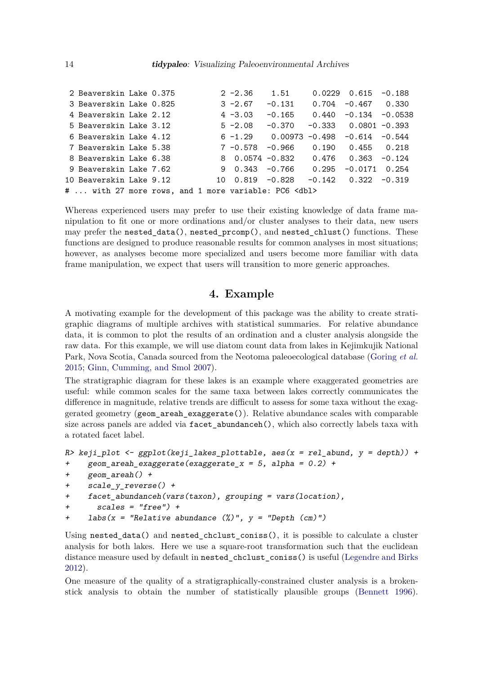| 2 Beaverskin Lake 0.375                                    |  |    | $2 - 2.36$      | 1.51                         | $0.0229$ $0.615$ $-0.188$         |  |
|------------------------------------------------------------|--|----|-----------------|------------------------------|-----------------------------------|--|
| 3 Beaverskin Lake 0.825                                    |  |    | $3 - 2.67$      | $-0.131$                     | $0.704 - 0.467 0.330$             |  |
| 4 Beaverskin Lake 2.12                                     |  |    | $4 - 3.03$      | -0.165                       | $0.440 -0.134 -0.0538$            |  |
| 5 Beaverskin Lake 3.12                                     |  |    | $5 - 2.08$      | $-0.370$                     | $-0.333$ 0.0801 $-0.393$          |  |
| 6 Beaverskin Lake 4.12                                     |  |    | $6 - 1.29$      | 0.00973 -0.498 -0.614 -0.544 |                                   |  |
| 7 Beaverskin Lake 5.38                                     |  |    | 7 -0.578 -0.966 |                              | $0.190 \qquad 0.455 \qquad 0.218$ |  |
| 8 Beaverskin Lake 6.38                                     |  |    |                 | 8 0.0574 -0.832 0.476        | $0.363 - 0.124$                   |  |
| 9 Beaverskin Lake 7.62                                     |  |    |                 | $9$ 0.343 -0.766 0.295       | $-0.0171$ 0.254                   |  |
| 10 Beaverskin Lake 9.12                                    |  | 10 | $0.819 - 0.828$ |                              | $-0.142$ $0.322$ $-0.319$         |  |
| #  with 27 more rows, and 1 more variable: PC6 <dbl></dbl> |  |    |                 |                              |                                   |  |

Whereas experienced users may prefer to use their existing knowledge of data frame manipulation to fit one or more ordinations and/or cluster analyses to their data, new users may prefer the nested\_data(), nested\_prcomp(), and nested\_chlust() functions. These functions are designed to produce reasonable results for common analyses in most situations; however, as analyses become more specialized and users become more familiar with data frame manipulation, we expect that users will transition to more generic approaches.

# **4. Example**

A motivating example for the development of this package was the ability to create stratigraphic diagrams of multiple archives with statistical summaries. For relative abundance data, it is common to plot the results of an ordination and a cluster analysis alongside the raw data. For this example, we will use diatom count data from lakes in Kejimkujik National Park, Nova Scotia, Canada sourced from the Neotoma paleoecological database [\(Goring](#page-17-11) *et al.* [2015;](#page-17-11) [Ginn, Cumming, and Smol](#page-17-12) [2007\)](#page-17-12).

The stratigraphic diagram for these lakes is an example where exaggerated geometries are useful: while common scales for the same taxa between lakes correctly communicates the difference in magnitude, relative trends are difficult to assess for some taxa without the exaggerated geometry (geom\_areah\_exaggerate()). Relative abundance scales with comparable size across panels are added via facet\_abundanceh(), which also correctly labels taxa with a rotated facet label.

```
R> keji_plot <- ggplot(keji_lakes_plottable, aes(x = rel_abund, y = depth)) +
+ geom_areah_exaggerate(exaggerate_x = 5, alpha = 0.2) +
+ geom_areah() +
    + scale_y_reverse() +
+ facet_abundanceh(vars(taxon), grouping = vars(location),
+ scales = "free") +
+ labs(x = "Relative abundance (\%)", y = "Depth (cm)")
```
Using nested data() and nested chclust coniss(), it is possible to calculate a cluster analysis for both lakes. Here we use a square-root transformation such that the euclidean distance measure used by default in nested\_chclust\_coniss() is useful [\(Legendre and Birks](#page-18-12) [2012\)](#page-18-12).

One measure of the quality of a stratigraphically-constrained cluster analysis is a brokenstick analysis to obtain the number of statistically plausible groups [\(Bennett](#page-16-0) [1996\)](#page-16-0).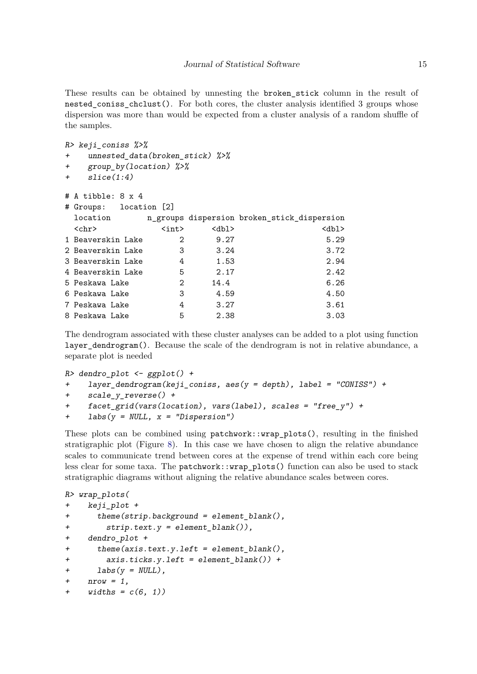These results can be obtained by unnesting the broken\_stick column in the result of nested coniss chclust(). For both cores, the cluster analysis identified 3 groups whose dispersion was more than would be expected from a cluster analysis of a random shuffle of the samples.

```
R> keji_coniss %>%
```

```
+ unnested_data(broken_stick) %>%
```
- + group\_by(location) %>%
- + slice(1:4)

|   | # A tibble: $8 \times 4$ |                              |      |                                             |
|---|--------------------------|------------------------------|------|---------------------------------------------|
| # | Groups: location [2]     |                              |      |                                             |
|   | location                 |                              |      | n_groups dispersion broken_stick_dispersion |
|   | $\langle chr \rangle$    | $\langle \text{int} \rangle$ | db1> | db1                                         |
|   | 1 Beaverskin Lake        | 2                            | 9.27 | 5.29                                        |
|   | 2 Beaverskin Lake        | 3                            | 3.24 | 3.72                                        |
|   | 3 Beaverskin Lake        | 4                            | 1.53 | 2.94                                        |
|   | 4 Beaverskin Lake        | 5                            | 2.17 | 2.42                                        |
|   | 5 Peskawa Lake           | 2                            | 14.4 | 6.26                                        |
|   | 6 Peskawa Lake           | 3                            | 4.59 | 4.50                                        |
|   | 7 Peskawa Lake           | 4                            | 3.27 | 3.61                                        |
|   | 8 Peskawa Lake           | 5                            | 2.38 | 3.03                                        |
|   |                          |                              |      |                                             |

The dendrogram associated with these cluster analyses can be added to a plot using function layer dendrogram(). Because the scale of the dendrogram is not in relative abundance, a separate plot is needed

```
R> dendro_plot <- ggplot() ++ layer_dendrogram(keji_coniss, aes(y = depth), label = "CONISS") +
+ scale_y_reverse() +
+ facet_grid(vars(location), vars(label), scales = "free_y") +
+ labs(y = NULL, x = "Dispersion")
```
These plots can be combined using patchwork::wrap\_plots(), resulting in the finished stratigraphic plot (Figure [8\)](#page-15-0). In this case we have chosen to align the relative abundance scales to communicate trend between cores at the expense of trend within each core being less clear for some taxa. The patchwork::wrap\_plots() function can also be used to stack stratigraphic diagrams without aligning the relative abundance scales between cores.

```
R> wrap_plots(
+ keji_plot +
+ theme(strip.background = element_blank(),
+ strip.text.y = element_blank()),
+ dendro_plot +
+ theme(axis.text.y.left = element_blank(),
+ axis.ticks.y.left = element_blank()) +
+ \text{labels}(y = \text{NULL}),+ nrow = 1,
+ widths = c(6, 1)
```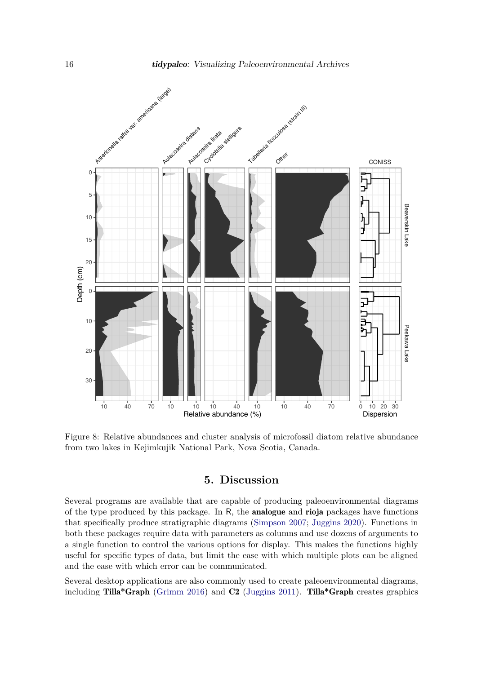

<span id="page-15-0"></span>Figure 8: Relative abundances and cluster analysis of microfossil diatom relative abundance from two lakes in Kejimkujik National Park, Nova Scotia, Canada.

# **5. Discussion**

Several programs are available that are capable of producing paleoenvironmental diagrams of the type produced by this package. In R, the analogue and rioja packages have functions that specifically produce stratigraphic diagrams [\(Simpson](#page-18-5) [2007;](#page-18-5) [Juggins](#page-17-6) [2020\)](#page-17-6). Functions in both these packages require data with parameters as columns and use dozens of arguments to a single function to control the various options for display. This makes the functions highly useful for specific types of data, but limit the ease with which multiple plots can be aligned and the ease with which error can be communicated.

Several desktop applications are also commonly used to create paleoenvironmental diagrams, including Tilla\*Graph [\(Grimm](#page-17-4) [2016\)](#page-17-4) and C2 [\(Juggins](#page-17-5) [2011\)](#page-17-5). Tilla\*Graph creates graphics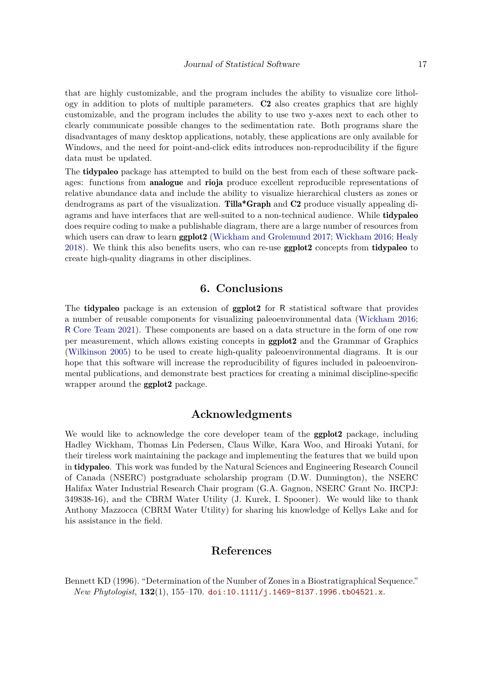that are highly customizable, and the program includes the ability to visualize core lithology in addition to plots of multiple parameters. C2 also creates graphics that are highly customizable, and the program includes the ability to use two y-axes next to each other to clearly communicate possible changes to the sedimentation rate. Both programs share the disadvantages of many desktop applications, notably, these applications are only available for Windows, and the need for point-and-click edits introduces non-reproducibility if the figure data must be updated.

The tidypaleo package has attempted to build on the best from each of these software packages: functions from analogue and rioja produce excellent reproducible representations of relative abundance data and include the ability to visualize hierarchical clusters as zones or dendrograms as part of the visualization. Tilla\*Graph and C2 produce visually appealing diagrams and have interfaces that are well-suited to a non-technical audience. While tidypaleo does require coding to make a publishable diagram, there are a large number of resources from which users can draw to learn **ggplot2** [\(Wickham and Grolemund](#page-18-13) [2017;](#page-18-13) [Wickham](#page-18-6) [2016;](#page-18-6) [Healy](#page-17-13) [2018\)](#page-17-13). We think this also benefits users, who can re-use ggplot2 concepts from tidypaleo to create high-quality diagrams in other disciplines.

# **6. Conclusions**

The tidypaleo package is an extension of ggplot2 for R statistical software that provides a number of reusable components for visualizing paleoenvironmental data [\(Wickham](#page-18-6) [2016;](#page-18-6) R [Core Team](#page-18-4) [2021\)](#page-18-4). These components are based on a data structure in the form of one row per measurement, which allows existing concepts in ggplot2 and the Grammar of Graphics [\(Wilkinson](#page-18-7) [2005\)](#page-18-7) to be used to create high-quality paleoenvironmental diagrams. It is our hope that this software will increase the reproducibility of figures included in paleoenvironmental publications, and demonstrate best practices for creating a minimal discipline-specific wrapper around the ggplot2 package.

# **Acknowledgments**

We would like to acknowledge the core developer team of the **ggplot2** package, including Hadley Wickham, Thomas Lin Pedersen, Claus Wilke, Kara Woo, and Hiroaki Yutani, for their tireless work maintaining the package and implementing the features that we build upon in tidypaleo. This work was funded by the Natural Sciences and Engineering Research Council of Canada (NSERC) postgraduate scholarship program (D.W. Dunnington), the NSERC Halifax Water Industrial Research Chair program (G.A. Gagnon, NSERC Grant No. IRCPJ: 349838-16), and the CBRM Water Utility (J. Kurek, I. Spooner). We would like to thank Anthony Mazzocca (CBRM Water Utility) for sharing his knowledge of Kellys Lake and for his assistance in the field.

## **References**

<span id="page-16-0"></span>Bennett KD (1996). "Determination of the Number of Zones in a Biostratigraphical Sequence." *New Phytologist*, **132**(1), 155–170. [doi:10.1111/j.1469-8137.1996.tb04521.x](https://doi.org/10.1111/j.1469-8137.1996.tb04521.x).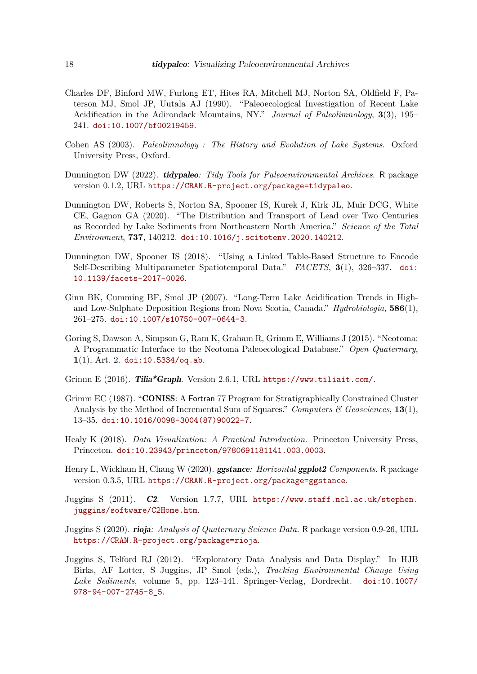- <span id="page-17-1"></span>Charles DF, Binford MW, Furlong ET, Hites RA, Mitchell MJ, Norton SA, Oldfield F, Paterson MJ, Smol JP, Uutala AJ (1990). "Paleoecological Investigation of Recent Lake Acidification in the Adirondack Mountains, NY." *Journal of Paleolimnology*, **3**(3), 195– 241. [doi:10.1007/bf00219459](https://doi.org/10.1007/bf00219459).
- <span id="page-17-0"></span>Cohen AS (2003). *Paleolimnology : The History and Evolution of Lake Systems*. Oxford University Press, Oxford.
- <span id="page-17-7"></span>Dunnington DW (2022). tidypaleo*: Tidy Tools for Paleoenvironmental Archives*. R package version 0.1.2, URL <https://CRAN.R-project.org/package=tidypaleo>.
- <span id="page-17-2"></span>Dunnington DW, Roberts S, Norton SA, Spooner IS, Kurek J, Kirk JL, Muir DCG, White CE, Gagnon GA (2020). "The Distribution and Transport of Lead over Two Centuries as Recorded by Lake Sediments from Northeastern North America." *Science of the Total Environment*, **737**, 140212. [doi:10.1016/j.scitotenv.2020.140212](https://doi.org/10.1016/j.scitotenv.2020.140212).
- <span id="page-17-3"></span>Dunnington DW, Spooner IS (2018). "Using a Linked Table-Based Structure to Encode Self-Describing Multiparameter Spatiotemporal Data." *FACETS*, **3**(1), 326–337. [doi:](https://doi.org/10.1139/facets-2017-0026) [10.1139/facets-2017-0026](https://doi.org/10.1139/facets-2017-0026).
- <span id="page-17-12"></span>Ginn BK, Cumming BF, Smol JP (2007). "Long-Term Lake Acidification Trends in Highand Low-Sulphate Deposition Regions from Nova Scotia, Canada." *Hydrobiologia*, **586**(1), 261–275. [doi:10.1007/s10750-007-0644-3](https://doi.org/10.1007/s10750-007-0644-3).
- <span id="page-17-11"></span>Goring S, Dawson A, Simpson G, Ram K, Graham R, Grimm E, Williams J (2015). "Neotoma: A Programmatic Interface to the Neotoma Paleoecological Database." *Open Quaternary*, **1**(1), Art. 2. [doi:10.5334/oq.ab](https://doi.org/10.5334/oq.ab).
- <span id="page-17-4"></span>Grimm E  $(2016)$ . Tilia\*Graph. Version 2.6.1, URL <https://www.tiliait.com/>.
- <span id="page-17-10"></span>Grimm EC (1987). "CONISS: A Fortran 77 Program for Stratigraphically Constrained Cluster Analysis by the Method of Incremental Sum of Squares." *Computers & Geosciences*, **13**(1), 13–35. [doi:10.1016/0098-3004\(87\)90022-7](https://doi.org/10.1016/0098-3004(87)90022-7).
- <span id="page-17-13"></span>Healy K (2018). *Data Visualization: A Practical Introduction*. Princeton University Press, Princeton. [doi:10.23943/princeton/9780691181141.003.0003](https://doi.org/10.23943/princeton/9780691181141.003.0003).
- <span id="page-17-9"></span>Henry L, Wickham H, Chang W (2020). ggstance*: Horizontal* ggplot2 *Components*. R package version 0.3.5, URL <https://CRAN.R-project.org/package=ggstance>.
- <span id="page-17-5"></span>Juggins S (2011). C2. Version 1.7.7, URL [https://www.staff.ncl.ac.uk/stephen.](https://www.staff.ncl.ac.uk/stephen.juggins/software/C2Home.htm) [juggins/software/C2Home.htm](https://www.staff.ncl.ac.uk/stephen.juggins/software/C2Home.htm).
- <span id="page-17-6"></span>Juggins S (2020). rioja*: Analysis of Quaternary Science Data*. R package version 0.9-26, URL <https://CRAN.R-project.org/package=rioja>.
- <span id="page-17-8"></span>Juggins S, Telford RJ (2012). "Exploratory Data Analysis and Data Display." In HJB Birks, AF Lotter, S Juggins, JP Smol (eds.), *Tracking Environmental Change Using Lake Sediments*, volume 5, pp. 123–141. Springer-Verlag, Dordrecht. [doi:10.1007/](https://doi.org/10.1007/978-94-007-2745-8_5) [978-94-007-2745-8\\_5](https://doi.org/10.1007/978-94-007-2745-8_5).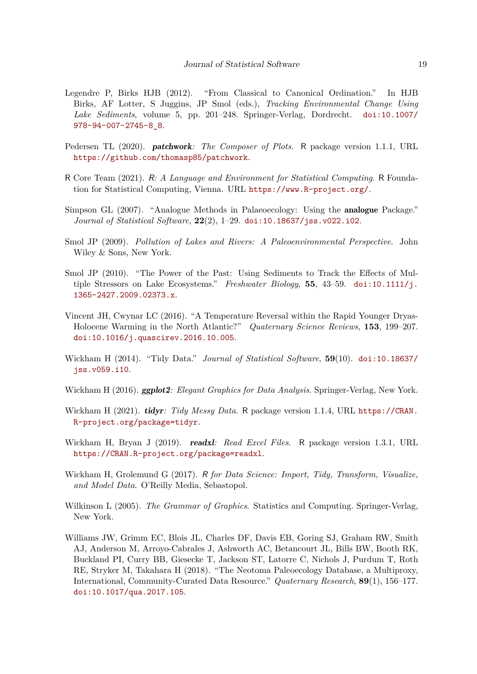- <span id="page-18-12"></span>Legendre P, Birks HJB (2012). "From Classical to Canonical Ordination." In HJB Birks, AF Lotter, S Juggins, JP Smol (eds.), *Tracking Environmental Change Using Lake Sediments*, volume 5, pp. 201–248. Springer-Verlag, Dordrecht. [doi:10.1007/](https://doi.org/10.1007/978-94-007-2745-8_8) [978-94-007-2745-8\\_8](https://doi.org/10.1007/978-94-007-2745-8_8).
- <span id="page-18-11"></span>Pedersen TL (2020). patchwork*: The Composer of Plots*. R package version 1.1.1, URL <https://github.com/thomasp85/patchwork>.
- <span id="page-18-4"></span>R Core Team (2021). R*: A Language and Environment for Statistical Computing*. R Foundation for Statistical Computing, Vienna. URL <https://www.R-project.org/>.
- <span id="page-18-5"></span>Simpson GL (2007). "Analogue Methods in Palaeoecology: Using the analogue Package." *Journal of Statistical Software*, **22**(2), 1–29. [doi:10.18637/jss.v022.i02](https://doi.org/10.18637/jss.v022.i02).
- <span id="page-18-0"></span>Smol JP (2009). *Pollution of Lakes and Rivers: A Paleoenvironmental Perspective*. John Wiley & Sons, New York.
- <span id="page-18-1"></span>Smol JP (2010). "The Power of the Past: Using Sediments to Track the Effects of Multiple Stressors on Lake Ecosystems." *Freshwater Biology*, **55**, 43–59. [doi:10.1111/j.](https://doi.org/10.1111/j.1365-2427.2009.02373.x) [1365-2427.2009.02373.x](https://doi.org/10.1111/j.1365-2427.2009.02373.x).
- <span id="page-18-3"></span>Vincent JH, Cwynar LC (2016). "A Temperature Reversal within the Rapid Younger Dryas-Holocene Warming in the North Atlantic?" *Quaternary Science Reviews*, **153**, 199–207. [doi:10.1016/j.quascirev.2016.10.005](https://doi.org/10.1016/j.quascirev.2016.10.005).
- <span id="page-18-8"></span>Wickham H (2014). "Tidy Data." *Journal of Statistical Software*, **59**(10). [doi:10.18637/](https://doi.org/10.18637/jss.v059.i10) [jss.v059.i10](https://doi.org/10.18637/jss.v059.i10).
- <span id="page-18-6"></span>Wickham H (2016). ggplot2*: Elegant Graphics for Data Analysis*. Springer-Verlag, New York.
- <span id="page-18-10"></span>Wickham H (2021). tidyr*: Tidy Messy Data*. R package version 1.1.4, URL [https://CRAN.](https://CRAN.R-project.org/package=tidyr) [R-project.org/package=tidyr](https://CRAN.R-project.org/package=tidyr).
- <span id="page-18-9"></span>Wickham H, Bryan J (2019). readxl*: Read Excel Files*. R package version 1.3.1, URL <https://CRAN.R-project.org/package=readxl>.
- <span id="page-18-13"></span>Wickham H, Grolemund G (2017). R *for Data Science: Import, Tidy, Transform, Visualize, and Model Data*. O'Reilly Media, Sebastopol.
- <span id="page-18-7"></span>Wilkinson L (2005). *The Grammar of Graphics*. Statistics and Computing. Springer-Verlag, New York.
- <span id="page-18-2"></span>Williams JW, Grimm EC, Blois JL, Charles DF, Davis EB, Goring SJ, Graham RW, Smith AJ, Anderson M, Arroyo-Cabrales J, Ashworth AC, Betancourt JL, Bills BW, Booth RK, Buckland PI, Curry BB, Giesecke T, Jackson ST, Latorre C, Nichols J, Purdum T, Roth RE, Stryker M, Takahara H (2018). "The Neotoma Paleoecology Database, a Multiproxy, International, Community-Curated Data Resource." *Quaternary Research*, **89**(1), 156–177. [doi:10.1017/qua.2017.105](https://doi.org/10.1017/qua.2017.105).